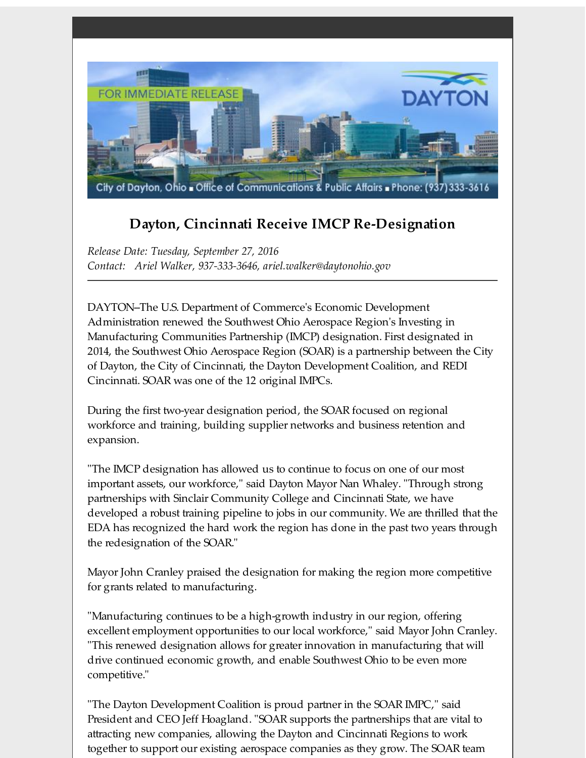

## **Dayton, Cincinnati Receive IMCP Re-Designation**

*Release Date: Tuesday, September 27, 2016 Contact: Ariel Walker, 937-333-3646, ariel.walker@daytonohio.gov*

DAYTON--The U.S. Department of Commerce's Economic Development Administration renewed the Southwest Ohio Aerospace Region's Investing in Manufacturing Communities Partnership (IMCP) designation. First designated in 2014, the Southwest Ohio Aerospace Region (SOAR) is a partnership between the City of Dayton, the City of Cincinnati, the Dayton Development Coalition, and REDI Cincinnati. SOAR was one of the 12 original IMPCs.

During the first two-year designation period, the SOAR focused on regional workforce and training, building supplier networks and business retention and expansion.

"The IMCP designation has allowed us to continue to focus on one of our most important assets, our workforce," said Dayton Mayor Nan Whaley. "Through strong partnerships with Sinclair Community College and Cincinnati State, we have developed a robust training pipeline to jobs in our community. We are thrilled that the EDA has recognized the hard work the region has done in the past two years through the redesignation of the SOAR."

Mayor John Cranley praised the designation for making the region more competitive for grants related to manufacturing.

"Manufacturing continues to be a high-growth industry in our region, offering excellent employment opportunities to our local workforce," said Mayor John Cranley. "This renewed designation allows for greater innovation in manufacturing that will drive continued economic growth, and enable Southwest Ohio to be even more competitive."

"The Dayton Development Coalition is proud partner in the SOAR IMPC," said President and CEO Jeff Hoagland. "SOAR supports the partnerships that are vital to attracting new companies, allowing the Dayton and Cincinnati Regions to work together to support our existing aerospace companies as they grow. The SOAR team